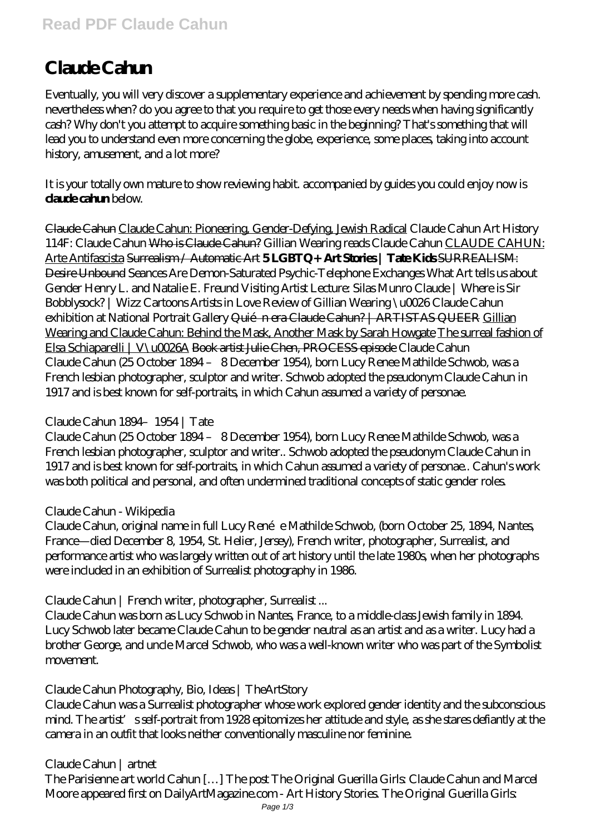# **Read PDF Claude Cahun**

# **Claude Cahun**

Eventually, you will very discover a supplementary experience and achievement by spending more cash. nevertheless when? do you agree to that you require to get those every needs when having significantly cash? Why don't you attempt to acquire something basic in the beginning? That's something that will lead you to understand even more concerning the globe, experience, some places, taking into account history, amusement, and a lot more?

It is your totally own mature to show reviewing habit. accompanied by guides you could enjoy now is **claude cahun** below.

Claude Cahun Claude Cahun: Pioneering, Gender-Defying, Jewish Radical *Claude Cahun Art History 114F: Claude Cahun* Who is Claude Cahun? *Gillian Wearing reads Claude Cahun* CLAUDE CAHUN: Arte Antifascista Surrealism / Automatic Art **5 LGBTQ+ Art Stories | Tate Kids** SURREALISM: Desire Unbound *Seances Are Demon-Saturated Psychic-Telephone Exchanges What Art tells us about Gender Henry L. and Natalie E. Freund Visiting Artist Lecture: Silas Munro* Claude | Where is Sir Bobblysock? | Wizz Cartoons Artists in Love Review of Gillian Wearing \u0026 Claude Cahun exhibition at National Portrait Gallery Quién era Claude Cahun? | ARTISTAS QUEER Gillian Wearing and Claude Cahun: Behind the Mask, Another Mask by Sarah Howgate The surreal fashion of Elsa Schiaparelli | V\u0026A Book artist Julie Chen, PROCESS episode *Claude Cahun* Claude Cahun (25 October 1894 – 8 December 1954), born Lucy Renee Mathilde Schwob, was a French lesbian photographer, sculptor and writer. Schwob adopted the pseudonym Claude Cahun in 1917 and is best known for self-portraits, in which Cahun assumed a variety of personae.

# *Claude Cahun 1894–1954 | Tate*

Claude Cahun (25 October 1894 – 8 December 1954), born Lucy Renee Mathilde Schwob, was a French lesbian photographer, sculptor and writer.. Schwob adopted the pseudonym Claude Cahun in 1917 and is best known for self-portraits, in which Cahun assumed a variety of personae.. Cahun's work was both political and personal, and often undermined traditional concepts of static gender roles.

#### *Claude Cahun - Wikipedia*

Claude Cahun, original name in full Lucy Renée Mathilde Schwob, (born October 25, 1894, Nantes, France—died December 8, 1954, St. Helier, Jersey), French writer, photographer, Surrealist, and performance artist who was largely written out of art history until the late 1980s, when her photographs were included in an exhibition of Surrealist photography in 1986.

# *Claude Cahun | French writer, photographer, Surrealist ...*

Claude Cahun was born as Lucy Schwob in Nantes, France, to a middle-class Jewish family in 1894. Lucy Schwob later became Claude Cahun to be gender neutral as an artist and as a writer. Lucy had a brother George, and uncle Marcel Schwob, who was a well-known writer who was part of the Symbolist movement.

# *Claude Cahun Photography, Bio, Ideas | TheArtStory*

Claude Cahun was a Surrealist photographer whose work explored gender identity and the subconscious mind. The artist's self-portrait from 1928 epitomizes her attitude and style, as she stares defiantly at the camera in an outfit that looks neither conventionally masculine nor feminine.

#### *Claude Cahun | artnet*

The Parisienne art world Cahun […] The post The Original Guerilla Girls: Claude Cahun and Marcel Moore appeared first on DailyArtMagazine.com - Art History Stories. The Original Guerilla Girls: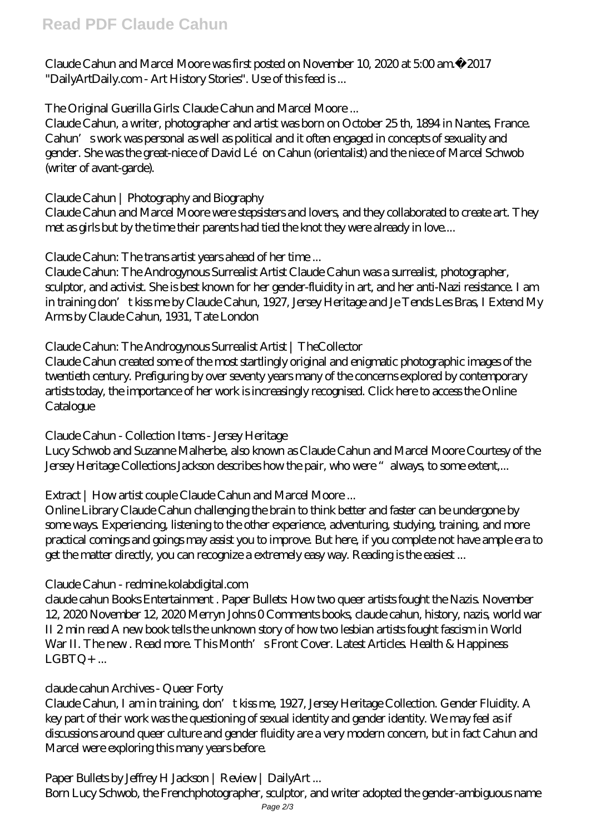Claude Cahun and Marcel Moore was first posted on November 10, 2020 at 5:00 am.©2017 "DailyArtDaily.com - Art History Stories". Use of this feed is ...

# *The Original Guerilla Girls: Claude Cahun and Marcel Moore ...*

Claude Cahun, a writer, photographer and artist was born on October 25 th, 1894 in Nantes, France. Cahun's work was personal as well as political and it often engaged in concepts of sexuality and gender. She was the great-niece of David Léon Cahun (orientalist) and the niece of Marcel Schwob (writer of avant-garde).

#### *Claude Cahun | Photography and Biography*

Claude Cahun and Marcel Moore were stepsisters and lovers, and they collaborated to create art. They met as girls but by the time their parents had tied the knot they were already in love....

# *Claude Cahun: The trans artist years ahead of her time ...*

Claude Cahun: The Androgynous Surrealist Artist Claude Cahun was a surrealist, photographer, sculptor, and activist. She is best known for her gender-fluidity in art, and her anti-Nazi resistance. I am in training don't kiss me by Claude Cahun, 1927, Jersey Heritage and Je Tends Les Bras, I Extend My Arms by Claude Cahun, 1931, Tate London

#### *Claude Cahun: The Androgynous Surrealist Artist | TheCollector*

Claude Cahun created some of the most startlingly original and enigmatic photographic images of the twentieth century. Prefiguring by over seventy years many of the concerns explored by contemporary artists today, the importance of her work is increasingly recognised. Click here to access the Online **Catalogue** 

# *Claude Cahun - Collection Items - Jersey Heritage*

Lucy Schwob and Suzanne Malherbe, also known as Claude Cahun and Marcel Moore Courtesy of the Jersey Heritage Collections Jackson describes how the pair, who were "always, to some extent,...

# *Extract | How artist couple Claude Cahun and Marcel Moore ...*

Online Library Claude Cahun challenging the brain to think better and faster can be undergone by some ways. Experiencing, listening to the other experience, adventuring, studying, training, and more practical comings and goings may assist you to improve. But here, if you complete not have ample era to get the matter directly, you can recognize a extremely easy way. Reading is the easiest ...

#### *Claude Cahun - redmine.kolabdigital.com*

claude cahun Books Entertainment . Paper Bullets: How two queer artists fought the Nazis. November 12, 2020 November 12, 2020 Merryn Johns 0 Comments books, claude cahun, history, nazis, world war II 2 min read A new book tells the unknown story of how two lesbian artists fought fascism in World War II. The new. Read more. This Month's Front Cover. Latest Articles. Health & Happiness  $LGBTQ+...$ 

# *claude cahun Archives - Queer Forty*

Claude Cahun, I am in training, don't kiss me, 1927, Jersey Heritage Collection. Gender Fluidity. A key part of their work was the questioning of sexual identity and gender identity. We may feel as if discussions around queer culture and gender fluidity are a very modern concern, but in fact Cahun and Marcel were exploring this many years before.

# *Paper Bullets by Jeffrey H Jackson | Review | DailyArt ...*

Born Lucy Schwob, the Frenchphotographer, sculptor, and writer adopted the gender-ambiguous name